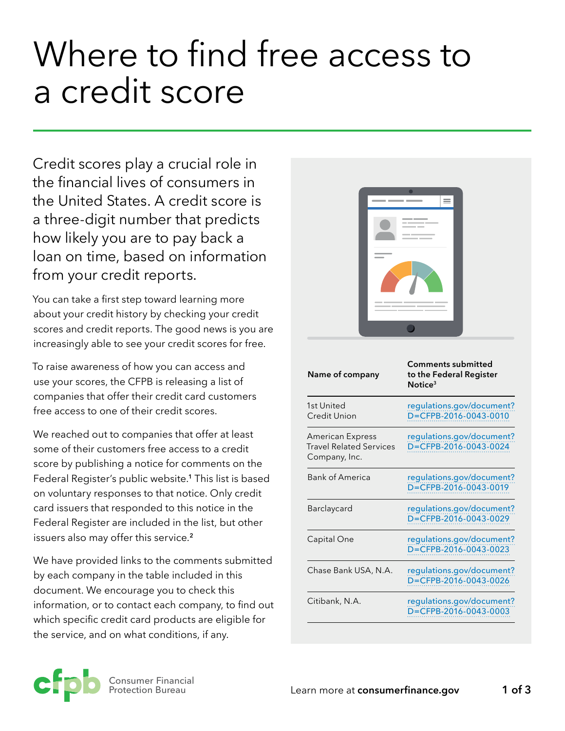# Where to find free access to a credit score

Credit scores play a crucial role in the financial lives of consumers in the United States. A credit score is a three-digit number that predicts how likely you are to pay back a loan on time, based on information from your credit reports.

You can take a first step toward learning more about your credit history by checking your credit scores and credit reports. The good news is you are increasingly able to see your credit scores for free.

To raise awareness of how you can access and use your scores, the CFPB is releasing a list of companies that offer their credit card customers free access to one of their credit scores.

We reached out to companies that offer at least some of their customers free access to a credit score by publishing a notice for comments on the Federal Register's public website.**<sup>1</sup>** This list is based on voluntary responses to that notice. Only credit card issuers that responded to this notice in the Federal Register are included in the list, but other issuers also may offer this service.**<sup>2</sup>**

We have provided links to the comments submitted by each company in the table included in this document. We encourage you to check this information, or to contact each company, to find out which specific credit card products are eligible for the service, and on what conditions, if any.



| Name of company                                                     | <b>Comments submitted</b><br>to the Federal Register<br>Notice <sup>3</sup> |
|---------------------------------------------------------------------|-----------------------------------------------------------------------------|
| 1st United<br><b>Credit Union</b>                                   | regulations.gov/document?<br>D=CFPB-2016-0043-0010                          |
| American Express<br><b>Travel Related Services</b><br>Company, Inc. | regulations.gov/document?<br>D=CFPB-2016-0043-0024                          |
| <b>Bank of America</b>                                              | regulations.gov/document?<br>D=CFPB-2016-0043-0019                          |
| Barclaycard                                                         | regulations.gov/document?<br>D=CFPB-2016-0043-0029                          |
| Capital One                                                         | regulations.gov/document?<br>D=CFPB-2016-0043-0023                          |
| Chase Bank USA, N.A.                                                | regulations.gov/document?<br>D=CFPB-2016-0043-0026                          |
| Citibank, N.A.                                                      | regulations.gov/document?<br>D=CFPB-2016-0043-0003                          |

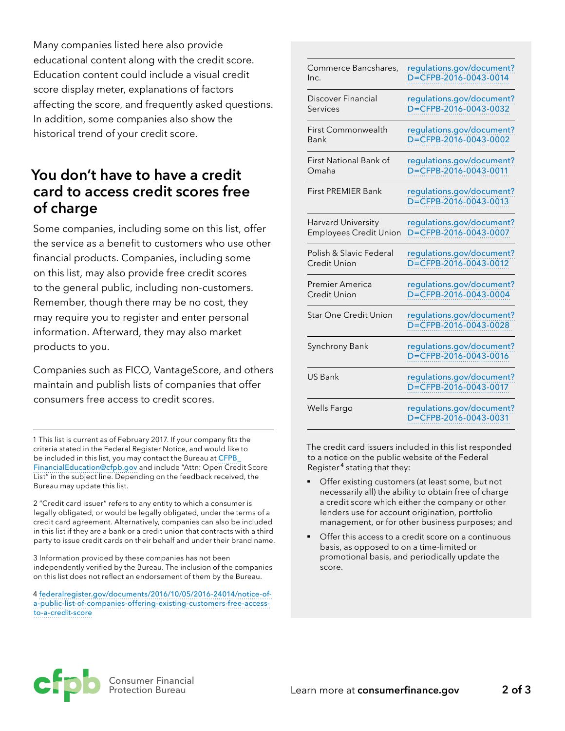Many companies listed here also provide educational content along with the credit score. Education content could include a visual credit score display meter, explanations of factors affecting the score, and frequently asked questions. In addition, some companies also show the historical trend of your credit score.

### **You don't have to have a credit card to access credit scores free of charge**

Some companies, including some on this list, offer the service as a benefit to customers who use other financial products. Companies, including some on this list, may also provide free credit scores to the general public, including non-customers. Remember, though there may be no cost, they may require you to register and enter personal information. Afterward, they may also market products to you.

Companies such as FICO, VantageScore, and others maintain and publish lists of companies that offer consumers free access to credit scores.

1 This list is current as of February 2017. If your company fits the criteria stated in the Federal Register Notice, and would like to be included in this list, you may contact the Bureau at CFPB [FinancialEducation@cfpb.gov](mailto:CFPB_FinancialEducation%40cfpb.gov?subject=Attn%3A%20Open%20Credit%20Score%20List) and include "Attn: Open Credit Score List" in the subject line. Depending on the feedback received, the Bureau may update this list.

2 "Credit card issuer" refers to any entity to which a consumer is legally obligated, or would be legally obligated, under the terms of a credit card agreement. Alternatively, companies can also be included in this list if they are a bank or a credit union that contracts with a third party to issue credit cards on their behalf and under their brand name.

3 Information provided by these companies has not been independently verified by the Bureau. The inclusion of the companies on this list does not reflect an endorsement of them by the Bureau.

4 [federalregister.gov/documents/2016/10/05/2016-24014/notice-of](https://www.federalregister.gov/documents/2016/10/05/2016-24014/notice-of-a-public-list-of-companies)[a-public-list-of-companies-offering-existing-customers-free-access](https://www.federalregister.gov/documents/2016/10/05/2016-24014/notice-of-a-public-list-of-companies)[to-a-credit-score](https://www.federalregister.gov/documents/2016/10/05/2016-24014/notice-of-a-public-list-of-companies)

| Commerce Bancshares,          | regulations.gov/document?                          |
|-------------------------------|----------------------------------------------------|
| Inc.                          | D=CFPB-2016-0043-0014                              |
| <b>Discover Financial</b>     | regulations.gov/document?                          |
| Services                      | D=CFPB-2016-0043-0032                              |
| First Commonwealth            | regulations.gov/document?                          |
| <b>Bank</b>                   | D=CFPB-2016-0043-0002                              |
| First National Bank of        | regulations.gov/document?                          |
| Omaha                         | D=CFPB-2016-0043-0011                              |
| <b>First PREMIER Bank</b>     | regulations.gov/document?<br>D=CFPB-2016-0043-0013 |
| Harvard University            | regulations.gov/document?                          |
| <b>Employees Credit Union</b> | D=CFPB-2016-0043-0007                              |
| Polish & Slavic Federal       | regulations.gov/document?                          |
| Credit Union                  | D=CFPB-2016-0043-0012                              |
| Premier America               | regulations.gov/document?                          |
| Credit Union                  | D=CFPB-2016-0043-0004                              |
| <b>Star One Credit Union</b>  | regulations.gov/document?<br>D=CFPB-2016-0043-0028 |
| Synchrony Bank                | regulations.gov/document?<br>D=CFPB-2016-0043-0016 |
| <b>US Bank</b>                | regulations.gov/document?<br>D=CFPB-2016-0043-0017 |
| Wells Fargo                   | regulations.gov/document?<br>D=CFPB-2016-0043-0031 |

The credit card issuers included in this list responded to a notice on the public website of the Federal Register <sup>4</sup> stating that they:

- Offer existing customers (at least some, but not necessarily all) the ability to obtain free of charge a credit score which either the company or other lenders use for account origination, portfolio management, or for other business purposes; and
- Offer this access to a credit score on a continuous basis, as opposed to on a time-limited or promotional basis, and periodically update the score.